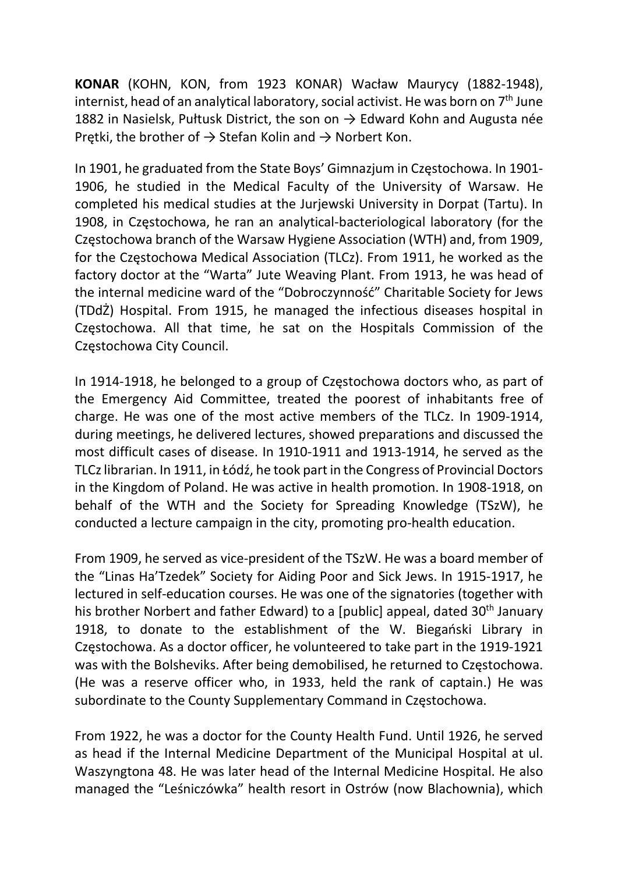KONAR (KOHN, KON, from 1923 KONAR) Wacław Maurycy (1882-1948), internist, head of an analytical laboratory, social activist. He was born on  $7<sup>th</sup>$  June 1882 in Nasielsk, Pułtusk District, the son on  $\rightarrow$  Edward Kohn and Augusta née Prętki, the brother of  $\rightarrow$  Stefan Kolin and  $\rightarrow$  Norbert Kon.

In 1901, he graduated from the State Boys' Gimnazjum in Częstochowa. In 1901- 1906, he studied in the Medical Faculty of the University of Warsaw. He completed his medical studies at the Jurjewski University in Dorpat (Tartu). In 1908, in Częstochowa, he ran an analytical-bacteriological laboratory (for the Częstochowa branch of the Warsaw Hygiene Association (WTH) and, from 1909, for the Częstochowa Medical Association (TLCz). From 1911, he worked as the factory doctor at the "Warta" Jute Weaving Plant. From 1913, he was head of the internal medicine ward of the "Dobroczynność" Charitable Society for Jews (TDdŻ) Hospital. From 1915, he managed the infectious diseases hospital in Częstochowa. All that time, he sat on the Hospitals Commission of the Częstochowa City Council.

In 1914-1918, he belonged to a group of Częstochowa doctors who, as part of the Emergency Aid Committee, treated the poorest of inhabitants free of charge. He was one of the most active members of the TLCz. In 1909-1914, during meetings, he delivered lectures, showed preparations and discussed the most difficult cases of disease. In 1910-1911 and 1913-1914, he served as the TLCz librarian. In 1911, in Łódź, he took part in the Congress of Provincial Doctors in the Kingdom of Poland. He was active in health promotion. In 1908-1918, on behalf of the WTH and the Society for Spreading Knowledge (TSzW), he conducted a lecture campaign in the city, promoting pro-health education.

From 1909, he served as vice-president of the TSzW. He was a board member of the "Linas Ha'Tzedek" Society for Aiding Poor and Sick Jews. In 1915-1917, he lectured in self-education courses. He was one of the signatories (together with his brother Norbert and father Edward) to a [public] appeal, dated 30<sup>th</sup> January 1918, to donate to the establishment of the W. Biegański Library in Częstochowa. As a doctor officer, he volunteered to take part in the 1919-1921 was with the Bolsheviks. After being demobilised, he returned to Częstochowa. (He was a reserve officer who, in 1933, held the rank of captain.) He was subordinate to the County Supplementary Command in Częstochowa.

From 1922, he was a doctor for the County Health Fund. Until 1926, he served as head if the Internal Medicine Department of the Municipal Hospital at ul. Waszyngtona 48. He was later head of the Internal Medicine Hospital. He also managed the "Leśniczówka" health resort in Ostrów (now Blachownia), which